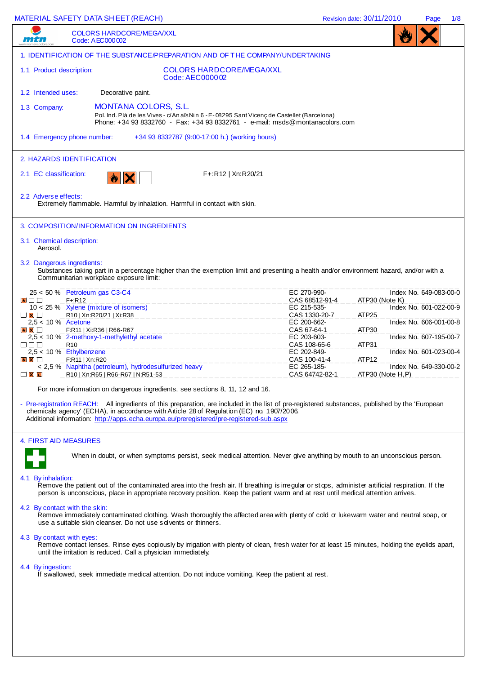|                                                                                             | <b>MATERIAL SAFETY DATA SHEET (REACH)</b>                                                                                                                                             |                             |                                                    |                                                                                                                                                                                                                                                                                        | Revision date: 30/11/2010 |                   | Page                   | 1/8 |
|---------------------------------------------------------------------------------------------|---------------------------------------------------------------------------------------------------------------------------------------------------------------------------------------|-----------------------------|----------------------------------------------------|----------------------------------------------------------------------------------------------------------------------------------------------------------------------------------------------------------------------------------------------------------------------------------------|---------------------------|-------------------|------------------------|-----|
| $\cdots$                                                                                    | <b>COLORS HARDCORE/MEGA/XXL</b><br>Code: AEC000002                                                                                                                                    |                             |                                                    |                                                                                                                                                                                                                                                                                        |                           |                   |                        |     |
|                                                                                             |                                                                                                                                                                                       |                             |                                                    | 1. IDENTIFICATION OF THE SUBSTANCE/PREPARATION AND OF THE COMPANY/UNDERTAKING                                                                                                                                                                                                          |                           |                   |                        |     |
| 1.1 Product description:                                                                    |                                                                                                                                                                                       |                             | <b>COLORS HARDCORE/MEGA/XXL</b><br>Code: AEC000002 |                                                                                                                                                                                                                                                                                        |                           |                   |                        |     |
| 1.2 Intended uses:                                                                          |                                                                                                                                                                                       | Decorative paint.           |                                                    |                                                                                                                                                                                                                                                                                        |                           |                   |                        |     |
| 1.3 Company:                                                                                |                                                                                                                                                                                       | <b>MONTANA COLORS, S.L.</b> |                                                    | Pol. Ind. Plà de les Vives - c/An aïs Nin 6 - E-08295 Sant Vicenç de Castellet (Barcelona)<br>Phone: +34 93 8332760 - Fax: +34 93 8332761 - e-mail: msds@montanacolors.com                                                                                                             |                           |                   |                        |     |
|                                                                                             | 1.4 Emergency phone number:                                                                                                                                                           |                             | +34 93 8332787 (9:00-17:00 h.) (working hours)     |                                                                                                                                                                                                                                                                                        |                           |                   |                        |     |
|                                                                                             | 2. HAZARDS IDENTIFICATION                                                                                                                                                             |                             |                                                    |                                                                                                                                                                                                                                                                                        |                           |                   |                        |     |
| 2.1 EC classification:                                                                      | $  x   \times$                                                                                                                                                                        |                             | F+:R12   Xn:R20/21                                 |                                                                                                                                                                                                                                                                                        |                           |                   |                        |     |
| 2.2 Adverse effects:                                                                        | Extremely flammable. Harmful by inhalation. Harmful in contact with skin.                                                                                                             |                             |                                                    |                                                                                                                                                                                                                                                                                        |                           |                   |                        |     |
|                                                                                             | 3. COMPOSITION/INFORMATION ON INGREDIENTS                                                                                                                                             |                             |                                                    |                                                                                                                                                                                                                                                                                        |                           |                   |                        |     |
| 3.1 Chemical description:<br>Aerosol.                                                       |                                                                                                                                                                                       |                             |                                                    |                                                                                                                                                                                                                                                                                        |                           |                   |                        |     |
|                                                                                             | 3.2 Dangerous ingredients:<br>Communitarian workplace exposure limit:                                                                                                                 |                             |                                                    | Substances taking part in a percentage higher than the exemption limit and presenting a health and/or environment hazard, and/or with a                                                                                                                                                |                           |                   |                        |     |
|                                                                                             | 25 < 50 % Petroleum gas C3-C4                                                                                                                                                         |                             |                                                    | EC 270-990-                                                                                                                                                                                                                                                                            |                           |                   | Index No. 649-083-00-0 |     |
| $\begin{array}{c c c c c} \hline \bullet & \text{ } \text{ } \text{ } \text{ } \end{array}$ | $F + R12$<br>$10 < 25$ % Xylene (mixture of isomers)                                                                                                                                  |                             |                                                    | CAS 68512-91-4<br>EC 215-535-                                                                                                                                                                                                                                                          |                           | ATP30 (Note K)    | Index No. 601-022-00-9 |     |
| $\Box$ $\times$ $\Box$<br>$2.5 < 10 \%$ Acetone                                             | R10   Xn:R20/21   Xi:R38                                                                                                                                                              |                             |                                                    | CAS 1330-20-7<br>EC 200-662-                                                                                                                                                                                                                                                           | ATP <sub>25</sub>         |                   | Index No. 606-001-00-8 |     |
| $\bullet$ $\times$ $\Box$                                                                   | F:R11   Xi:R36   R66-R67<br>2,5 < 10 % 2-methoxy-1-methylethyl acetate                                                                                                                |                             |                                                    | CAS 67-64-1<br>EC 203-603-                                                                                                                                                                                                                                                             | ATP30                     |                   | Index No. 607-195-00-7 |     |
| n n n                                                                                       | R <sub>10</sub>                                                                                                                                                                       |                             |                                                    | CAS 108-65-6                                                                                                                                                                                                                                                                           | ATP31                     |                   |                        |     |
| $\bullet$ $\times$ $\Box$                                                                   | 2,5 < 10 % Ethylbenzene<br>F:R11   Xn:R20                                                                                                                                             |                             |                                                    | EC 202-849-<br>CAS 100-41-4                                                                                                                                                                                                                                                            | ATP <sub>12</sub>         |                   | Index No. 601-023-00-4 |     |
| $\Box$ $\mathsf{X}$ $\mathsf{K}$                                                            | < 2,5 % Naphtha (petroleum), hydrodesulfurized heavy<br>R10   Xn:R65   R66-R67   N:R51-53                                                                                             |                             |                                                    | EC 265-185-<br>CAS 64742-82-1                                                                                                                                                                                                                                                          |                           | ATP30 (Note H, P) | Index No. 649-330-00-2 |     |
|                                                                                             | For more information on dangerous ingredients, see sections 8, 11, 12 and 16.                                                                                                         |                             |                                                    |                                                                                                                                                                                                                                                                                        |                           |                   |                        |     |
|                                                                                             | chemicals agency' (ECHA), in accordance with Article 28 of Regulation (EC) no. 1907/2006.<br>Additional information: http://apps.echa.europa.eu/preregistered/pre-registered-sub.aspx |                             |                                                    | - Pre-registration REACH: All ingredients of this preparation, are included in the list of pre-registered substances, published by the 'European                                                                                                                                       |                           |                   |                        |     |
|                                                                                             | 4. FIRST AID MEASURES                                                                                                                                                                 |                             |                                                    |                                                                                                                                                                                                                                                                                        |                           |                   |                        |     |
|                                                                                             |                                                                                                                                                                                       |                             |                                                    | When in doubt, or when symptoms persist, seek medical attention. Never give anything by mouth to an unconscious person.                                                                                                                                                                |                           |                   |                        |     |
| 4.1 By inhalation:                                                                          |                                                                                                                                                                                       |                             |                                                    | Remove the patient out of the contaminated area into the fresh air. If breathing is irregular or stops, administer artificial respiration. If the<br>person is unconscious, place in appropriate recovery position. Keep the patient warm and at rest until medical attention arrives. |                           |                   |                        |     |
|                                                                                             | 4.2 By contact with the skin:<br>use a suitable skin cleanser. Do not use s dvents or thinners.                                                                                       |                             |                                                    | Remove immediately contaminated clothing. Wash thoroughly the affected area with plenty of cold or lukewarm water and neutral soap, or                                                                                                                                                 |                           |                   |                        |     |
| 4.3 By contact with eyes:                                                                   | until the irritation is reduced. Call a physician immediately.                                                                                                                        |                             |                                                    | Remove contact lenses. Rinse eyes copiously by irrigation with plenty of clean, fresh water for at least 15 minutes, holding the eyelids apart,                                                                                                                                        |                           |                   |                        |     |
| 4.4 By ingestion:                                                                           |                                                                                                                                                                                       |                             |                                                    | If swallowed, seek immediate medical attention. Do not induce vomiting. Keep the patient at rest.                                                                                                                                                                                      |                           |                   |                        |     |
|                                                                                             |                                                                                                                                                                                       |                             |                                                    |                                                                                                                                                                                                                                                                                        |                           |                   |                        |     |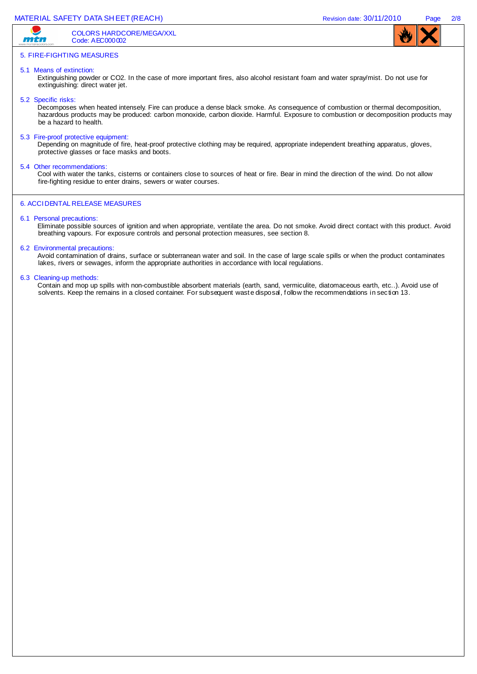# MATERIAL SAFETY DATA SHEET (REACH) **Revision date: 30/11/2010** Page 2/8

mtn

COLORS HARDCORE/MEGA/XXL Code: AEC000002



# 5. FIRE-FIGHTING MEASURES

# 5.1 Means of extinction:

Extinguishing powder or CO2. In the case of more important fires, also alcohol resistant foam and water spray/mist. Do not use for extinguishing: direct water jet.

#### 5.2 Specific risks:

Decomposes when heated intensely. Fire can produce a dense black smoke. As consequence of combustion or thermal decomposition, hazardous products may be produced: carbon monoxide, carbon dioxide. Harmful. Exposure to combustion or decomposition products may be a hazard to health.

5.3 Fire-proof protective equipment:

Depending on magnitude of fire, heat-proof protective clothing may be required, appropriate independent breathing apparatus, gloves, protective glasses or face masks and boots.

5.4 Other recommendations:

Cool with water the tanks, cisterns or containers close to sources of heat or fire. Bear in mind the direction of the wind. Do not allow fire-fighting residue to enter drains, sewers or water courses.

# 6. ACCI DENTAL RELEASE MEASURES

# 6.1 Personal precautions:

Eliminate possible sources of ignition and when appropriate, ventilate the area. Do not smoke. Avoid direct contact with this product. Avoid breathing vapours. For exposure controls and personal protection measures, see section 8.

#### 6.2 Environmental precautions:

Avoid contamination of drains, surface or subterranean water and soil. In the case of large scale spills or when the product contaminates lakes, rivers or sewages, inform the appropriate authorities in accordance with local regulations.

#### 6.3 Cleaning-up methods:

Contain and mop up spills with non-combustible absorbent materials (earth, sand, vermiculite, diatomaceous earth, etc..). Avoid use of solvents. Keep the remains in a closed container. For subsequent wast e disposal, f ollow the recommendations in sec tion 13.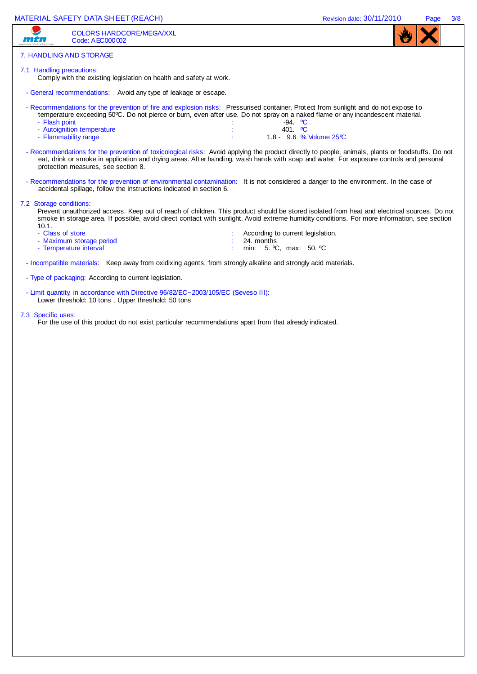| MATERIAL SAFETY DATA SHEET (REACH)                                                                                                                                                                                                                                                                                                                                                                                                                                                                                                                                                                                                                                                                      | Revision date: 30/11/2010 | Page | 3/8 |
|---------------------------------------------------------------------------------------------------------------------------------------------------------------------------------------------------------------------------------------------------------------------------------------------------------------------------------------------------------------------------------------------------------------------------------------------------------------------------------------------------------------------------------------------------------------------------------------------------------------------------------------------------------------------------------------------------------|---------------------------|------|-----|
| <b>COLORS HARDCORE/MEGA/XXL</b><br>Code: AEC000002                                                                                                                                                                                                                                                                                                                                                                                                                                                                                                                                                                                                                                                      |                           |      |     |
| 7. HANDLING AND STORAGE                                                                                                                                                                                                                                                                                                                                                                                                                                                                                                                                                                                                                                                                                 |                           |      |     |
| 7.1 Handling precautions:<br>Comply with the existing legislation on health and safety at work.                                                                                                                                                                                                                                                                                                                                                                                                                                                                                                                                                                                                         |                           |      |     |
| - General recommendations: Avoid any type of leakage or escape.                                                                                                                                                                                                                                                                                                                                                                                                                                                                                                                                                                                                                                         |                           |      |     |
| - Recommendations for the prevention of fire and explosion risks: Pressurised container. Protect from sunlight and do not expose to<br>temperature exceeding 50°C. Do not pierce or burn, even after use. Do not spray on a naked flame or any incandescent material.<br>- Flash point<br>$-94.$ °C<br>- Autoignition temperature<br>401. $^{\circ}$ C<br>1.8 - 9.6 % Volume 25℃<br>- Flammability range<br>- Recommendations for the prevention of toxicological risks: Avoid applying the product directly to people, animals, plants or foodstuffs. Do not<br>eat, drink or smoke in application and drying areas. After handing, wash hands with soap and water. For exposure controls and personal |                           |      |     |
| protection measures, see section 8.                                                                                                                                                                                                                                                                                                                                                                                                                                                                                                                                                                                                                                                                     |                           |      |     |
| - Recommendations for the prevention of environmental contamination: It is not considered a danger to the environment. In the case of<br>accidental spillage, follow the instructions indicated in section 6.                                                                                                                                                                                                                                                                                                                                                                                                                                                                                           |                           |      |     |
| 7.2 Storage conditions:<br>Prevent unauthorized access. Keep out of reach of children. This product should be stored isolated from heat and electrical sources. Do not<br>smoke in storage area. If possible, avoid direct contact with sunlight. Avoid extreme humidity conditions. For more information, see section<br>10.1.<br>- Class of store<br>According to current legislation.<br>- Maximum storage period<br>24. months<br>- Temperature interval<br>min: 5. °C, max: 50. °C                                                                                                                                                                                                                 |                           |      |     |
| - Incompatible materials: Keep away from oxidixing agents, from strongly alkaline and strongly acid materials.                                                                                                                                                                                                                                                                                                                                                                                                                                                                                                                                                                                          |                           |      |     |

- Type of packaging: According to current legislation.
- Limit quantity, in accordance with Directive 96/82/EC~2003/105/EC (Seveso III): Lower threshold: 10 tons , Upper threshold: 50 tons

#### 7.3 Specific uses:

For the use of this product do not exist particular recommendations apart from that already indicated.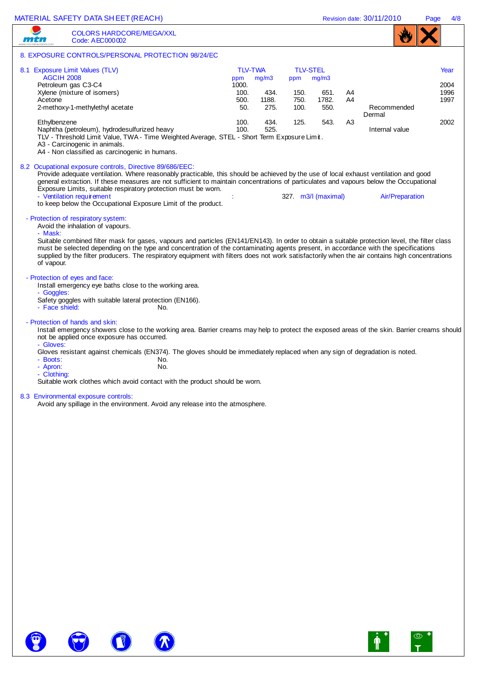Revision date: 30/11/2010 Page 4/8

|                                              | <b>COLORS HARDCORE/MEGA/XXL</b><br>Code: AEC000002                                                                                                                                                                                                                                                                                                                                                                                                                                                                  |            |                                                                       |                                                |                                                        |                                        |                |                                         |                                      |
|----------------------------------------------|---------------------------------------------------------------------------------------------------------------------------------------------------------------------------------------------------------------------------------------------------------------------------------------------------------------------------------------------------------------------------------------------------------------------------------------------------------------------------------------------------------------------|------------|-----------------------------------------------------------------------|------------------------------------------------|--------------------------------------------------------|----------------------------------------|----------------|-----------------------------------------|--------------------------------------|
|                                              | 8. EXPOSURE CONTROLS/PERSONAL PROTECTION 98/24/EC                                                                                                                                                                                                                                                                                                                                                                                                                                                                   |            |                                                                       |                                                |                                                        |                                        |                |                                         |                                      |
| <b>AGCIH 2008</b><br>Acetone<br>Ethylbenzene | 8.1 Exposure Limit Values (TLV)<br>Petroleum gas C3-C4<br>Xylene (mixture of isomers)<br>2-methoxy-1-methylethyl acetate<br>Naphtha (petroleum), hydrodesulfurized heavy<br>TLV - Threshold Limit Value, TWA - Time Weighted Average, STEL - Short Term Exposure Limit.<br>A3 - Carcinogenic in animals.<br>A4 - Non classified as carcinogenic in humans.                                                                                                                                                          |            | <b>TLV-TWA</b><br>ppm<br>1000.<br>100.<br>500.<br>50.<br>100.<br>100. | mg/m3<br>434.<br>1188.<br>275.<br>434.<br>525. | <b>TLV-STEL</b><br>ppm<br>150.<br>750.<br>100.<br>125. | mg/m3<br>651.<br>1782.<br>550.<br>543. | A4<br>A4<br>A3 | Recommended<br>Dermal<br>Internal value | Year<br>2004<br>1996<br>1997<br>2002 |
|                                              | 8.2 Ocupational exposure controls, Directive 89/686/EEC:<br>Provide adequate ventilation. Where reasonably practicable, this should be achieved by the use of local exhaust ventilation and good<br>general extraction. If these measures are not sufficient to maintain concentrations of particulates and vapours below the Occupational<br>Exposure Limits, suitable respiratory protection must be worn.<br>- Ventilation requirement<br>to keep below the Occupational Exposure Limit of the product.          |            |                                                                       |                                                |                                                        | 327. m3/l (maximal)                    |                | <b>Air/Preparation</b>                  |                                      |
| - Mask:<br>of vapour.                        | - Protection of respiratory system:<br>Avoid the inhalation of vapours.<br>Suitable combined filter mask for gases, vapours and particles (EN141/EN143). In order to obtain a suitable protection level, the filter class<br>must be selected depending on the type and concentration of the contaminating agents present, in accordance with the specifications<br>supplied by the filter producers. The respiratory equipment with filters does not work satisfactorily when the air contains high concentrations |            |                                                                       |                                                |                                                        |                                        |                |                                         |                                      |
| - Goggles:<br>- Face shield:                 | - Protection of eyes and face:<br>Install emergency eye baths close to the working area.<br>Safety goggles with suitable lateral protection (EN166).                                                                                                                                                                                                                                                                                                                                                                | No.        |                                                                       |                                                |                                                        |                                        |                |                                         |                                      |
| - Gloves:                                    | - Protection of hands and skin:<br>Install emergency showers close to the working area. Barrier creams may help to protect the exposed areas of the skin. Barrier creams should<br>not be applied once exposure has occurred.                                                                                                                                                                                                                                                                                       |            |                                                                       |                                                |                                                        |                                        |                |                                         |                                      |
| - Boots:<br>- Apron:<br>- Clothing:          | Gloves resistant against chemicals (EN374). The gloves should be immediately replaced when any sign of degradation is noted.                                                                                                                                                                                                                                                                                                                                                                                        | No.<br>No. |                                                                       |                                                |                                                        |                                        |                |                                         |                                      |
|                                              | Suitable work clothes which avoid contact with the product should be worn.                                                                                                                                                                                                                                                                                                                                                                                                                                          |            |                                                                       |                                                |                                                        |                                        |                |                                         |                                      |
|                                              | 8.3 Environmental exposure controls:<br>Avoid any spillage in the environment. Avoid any release into the atmosphere.                                                                                                                                                                                                                                                                                                                                                                                               |            |                                                                       |                                                |                                                        |                                        |                |                                         |                                      |
|                                              |                                                                                                                                                                                                                                                                                                                                                                                                                                                                                                                     |            |                                                                       |                                                |                                                        |                                        |                |                                         |                                      |
|                                              |                                                                                                                                                                                                                                                                                                                                                                                                                                                                                                                     |            |                                                                       |                                                |                                                        |                                        |                |                                         |                                      |
|                                              |                                                                                                                                                                                                                                                                                                                                                                                                                                                                                                                     |            |                                                                       |                                                |                                                        |                                        |                |                                         |                                      |
|                                              |                                                                                                                                                                                                                                                                                                                                                                                                                                                                                                                     |            |                                                                       |                                                |                                                        |                                        |                |                                         |                                      |
|                                              |                                                                                                                                                                                                                                                                                                                                                                                                                                                                                                                     |            |                                                                       |                                                |                                                        |                                        |                |                                         |                                      |
|                                              |                                                                                                                                                                                                                                                                                                                                                                                                                                                                                                                     |            |                                                                       |                                                |                                                        |                                        |                |                                         |                                      |
|                                              |                                                                                                                                                                                                                                                                                                                                                                                                                                                                                                                     |            |                                                                       |                                                |                                                        |                                        |                |                                         |                                      |
|                                              |                                                                                                                                                                                                                                                                                                                                                                                                                                                                                                                     |            |                                                                       |                                                |                                                        |                                        |                |                                         |                                      |
|                                              |                                                                                                                                                                                                                                                                                                                                                                                                                                                                                                                     |            |                                                                       |                                                |                                                        |                                        |                |                                         |                                      |



8

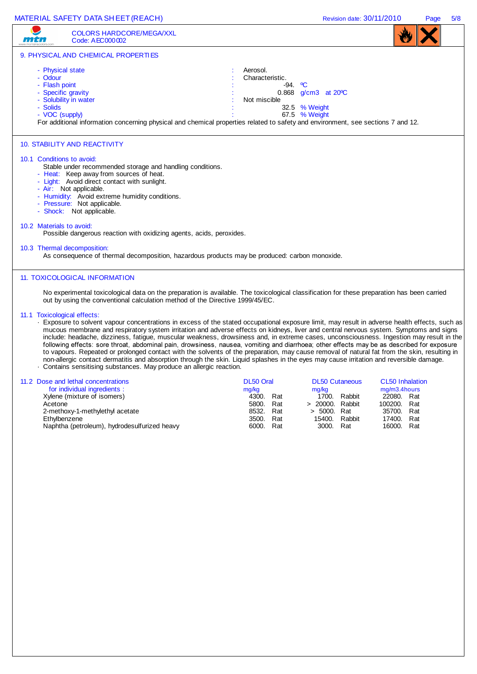| MATERIAL SAFETY DATA SHEET (REACH)                                                                                                                                                                                                                                                                                                                                                                                                                                                                                                                                                                                                                                                                                                                                                                                                                                                                                                                                                  | Revision date: 30/11/2010                                                                                                                                                                                                                | 5/8<br>Page |
|-------------------------------------------------------------------------------------------------------------------------------------------------------------------------------------------------------------------------------------------------------------------------------------------------------------------------------------------------------------------------------------------------------------------------------------------------------------------------------------------------------------------------------------------------------------------------------------------------------------------------------------------------------------------------------------------------------------------------------------------------------------------------------------------------------------------------------------------------------------------------------------------------------------------------------------------------------------------------------------|------------------------------------------------------------------------------------------------------------------------------------------------------------------------------------------------------------------------------------------|-------------|
| <b>COLORS HARDCORE/MEGA/XXL</b><br><b>11141</b><br>Code: AEC000002                                                                                                                                                                                                                                                                                                                                                                                                                                                                                                                                                                                                                                                                                                                                                                                                                                                                                                                  |                                                                                                                                                                                                                                          |             |
| 9. PHYSICAL AND CHEMICAL PROPERTIES                                                                                                                                                                                                                                                                                                                                                                                                                                                                                                                                                                                                                                                                                                                                                                                                                                                                                                                                                 |                                                                                                                                                                                                                                          |             |
| - Physical state<br>Aerosol.<br>- Odour<br>Characteristic.<br>- Flash point<br>- Specific gravity<br>- Solubility in water<br>Not miscible<br><b>Solids</b><br>- VOC (supply)<br>For additional information concerning physical and chemical properties related to safety and environment, see sections 7 and 12.                                                                                                                                                                                                                                                                                                                                                                                                                                                                                                                                                                                                                                                                   | $-94.$ °C<br>0.868 $g/cm3$ at 20 °C<br>32.5 % Weight<br>67.5 % Weight                                                                                                                                                                    |             |
| <b>10. STABILITY AND REACTIVITY</b><br>10.1 Conditions to avoid:<br>Stable under recommended storage and handling conditions.<br>- Heat: Keep away from sources of heat.<br>- Light: Avoid direct contact with sunlight.<br>- Air: Not applicable.<br>- Humidity: Avoid extreme humidity conditions.                                                                                                                                                                                                                                                                                                                                                                                                                                                                                                                                                                                                                                                                                |                                                                                                                                                                                                                                          |             |
| - Pressure: Not applicable.<br>- Shock: Not applicable.                                                                                                                                                                                                                                                                                                                                                                                                                                                                                                                                                                                                                                                                                                                                                                                                                                                                                                                             |                                                                                                                                                                                                                                          |             |
| 10.2 Materials to avoid:<br>Possible dangerous reaction with oxidizing agents, acids, peroxides.                                                                                                                                                                                                                                                                                                                                                                                                                                                                                                                                                                                                                                                                                                                                                                                                                                                                                    |                                                                                                                                                                                                                                          |             |
| 10.3 Thermal decomposition:<br>As consequence of thermal decomposition, hazardous products may be produced: carbon monoxide.                                                                                                                                                                                                                                                                                                                                                                                                                                                                                                                                                                                                                                                                                                                                                                                                                                                        |                                                                                                                                                                                                                                          |             |
| <b>11. TOXICOLOGICAL INFORMATION</b><br>No experimental toxicological data on the preparation is available. The toxicological classification for these preparation has been carried<br>out by using the conventional calculation method of the Directive 1999/45/EC.                                                                                                                                                                                                                                                                                                                                                                                                                                                                                                                                                                                                                                                                                                                |                                                                                                                                                                                                                                          |             |
| 11.1 Toxicological effects:<br>- Exposure to solvent vapour concentrations in excess of the stated occupational exposure limit, may result in adverse health effects, such as<br>mucous membrane and respiratory system irritation and adverse effects on kidneys, liver and central nervous system. Symptoms and signs<br>include: headache, dizziness, fatigue, muscular weakness, drowsiness and, in extreme cases, unconsciousness. Ingestion may result in the<br>following effects: sore throat, abdominal pain, drowsiness, nausea, vomiting and diarrhoea; other effects may be as described for exposure<br>to vapours. Repeated or prolonged contact with the solvents of the preparation, may cause removal of natural fat from the skin, resulting in<br>non-allergic contact dermatitis and absorption through the skin. Liquid splashes in the eyes may cause irritation and reversible damage.<br>Contains sensitising substances. May produce an allergic reaction. |                                                                                                                                                                                                                                          |             |
| DL50 Oral<br>11.2 Dose and lethal concentrations<br>for individual ingredients :<br>mg/kg<br>4300. Rat<br>Xylene (mixture of isomers)<br>5800. Rat<br>Acetone<br>2-methoxy-1-methylethyl acetate<br>8532.<br>Rat<br>Ethylbenzene<br>3500.<br>Rat<br>Naphtha (petroleum), hydrodesulfurized heavy<br>6000.<br>Rat                                                                                                                                                                                                                                                                                                                                                                                                                                                                                                                                                                                                                                                                    | <b>DL50 Cutaneous</b><br><b>CL50 Inhalation</b><br>mg/kg<br>mg/m3.4hours<br>1700. Rabbit<br>22080. Rat<br>> 20000. Rabbit<br>100200. Rat<br>> 5000. Rat<br>35700. Rat<br>15400.<br>Rabbit<br>17400. Rat<br>3000.<br>16000.<br>Rat<br>Rat |             |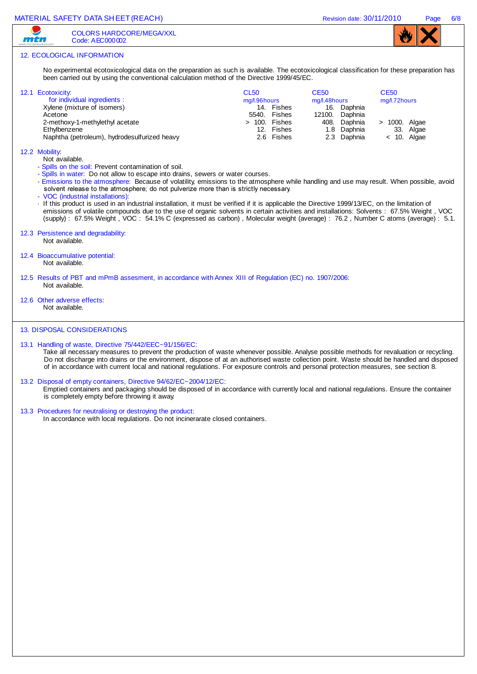MATERIAL SAFETY DATA SHEET (REACH) NATERIAL SAFETY DATA SHEET (REACH) REVISION date: 30/11/2010 Page 6/8 COLORS HARDCORE/MEGA/XXL mtn Code: AEC000002 12. ECOLOGICAL INFORMATION No experimental ecotoxicological data on the preparation as such is available. The ecotoxicological classification for these preparation has been carried out by using the conventional calculation method of the Directive 1999/45/EC. CL50 CE50 CE50 12.1 Ecotoxicity: for individual ingredients : mg/l.96hours mg/l.48hours mg/l.72hours Xylene (mixture of isomers) 14. Fishes 16. Daphnia<br>Acetone 12100. Daphnia 5540. Fishes 12100. Daphnia<br>
> 100. Fishes 408. Daphnia 2-methoxy-1-methylethyl acetate > 100. Fishes 408. Daphnia > 1000. Algae Ethylbenzene 1.8 Daphnia 1.8 Daphnia 1.8 Daphnia 1.8 Daphnia 33. Algae<br>Naphtha (petroleum), hydrodesulfurized heavy 1.8 Capachia 1.8 Daphnia 2.3 Daphnia 2.10, Algae Naphtha (petroleum), hydrodesulfurized heavy 12.2 Mobility: Not available. - Spills on the soil: Prevent contamination of soil. - Spills in water: Do not allow to escape into drains, sewers or water courses. - Emissions to the atmosphere: Because of volatility, emissions to the atmosphere while handling and use may result. When possible, avoid solvent release to the atmosphere; do not pulverize more than is strictly necessary. - VOC (industrial installations): · If this product is used in an industrial installation, it must be verified if it is applicable the Directive 1999/13/EC, on the limitation of emissions of volatile compounds due to the use of organic solvents in certain activities and installations: Solvents : 67.5% Weight , VOC (supply) : 67.5% Weight , VOC : 54.1% C (expressed as carbon) , Molecular weight (average) : 76.2 , Number C atoms (average) : 5.1. 12.3 Persistence and degradability: Not available. 12.4 Bioaccumulative potential: Not available. 12.5 Results of PBT and mPmB assesment, in accordance with Annex XIII of Regulation (EC) no. 1907/2006: Not available. 12.6 Other adverse effects: Not available. 13. DISPOSAL CONSIDERATIONS 13.1 Handling of waste, Directive 75/442/EEC~91/156/EC: Take all necessary measures to prevent the production of waste whenever possible. Analyse possible methods for revaluation or recycling. Do not discharge into drains or the environment, dispose of at an authorised waste collection point. Waste should be handled and disposed of in accordance with current local and national regulations. For exposure controls and personal protection measures, see section 8. 13.2 Disposal of empty containers, Directive 94/62/EC~2004/12/EC: Emptied containers and packaging should be disposed of in accordance with currently local and national regulations. Ensure the container is completely empty before throwing it away. 13.3 Procedures for neutralising or destroying the product: In accordance with local regulations. Do not incinerarate closed containers.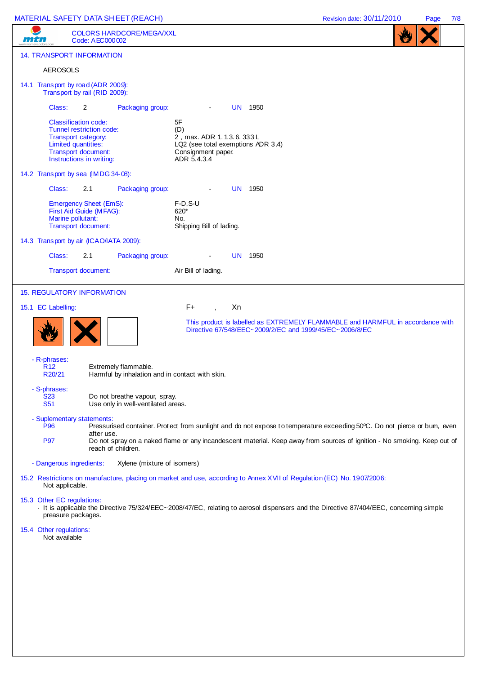# MATERIAL SAFETY DATA SHEET (REACH) Revision date: 30/11/2010 Page 7/8

|                                                        |                                                                                                                                                          |                                                                         |                                                                                                                                                                                                                                                      | . |
|--------------------------------------------------------|----------------------------------------------------------------------------------------------------------------------------------------------------------|-------------------------------------------------------------------------|------------------------------------------------------------------------------------------------------------------------------------------------------------------------------------------------------------------------------------------------------|---|
|                                                        | Code: AEC000002                                                                                                                                          | <b>COLORS HARDCORE/MEGA/XXL</b>                                         |                                                                                                                                                                                                                                                      |   |
|                                                        | <b>14. TRANSPORT INFORMATION</b>                                                                                                                         |                                                                         |                                                                                                                                                                                                                                                      |   |
| <b>AEROSOLS</b>                                        |                                                                                                                                                          |                                                                         |                                                                                                                                                                                                                                                      |   |
|                                                        | 14.1 Transport by road (ADR 2009):<br>Transport by rail (RID 2009):                                                                                      |                                                                         |                                                                                                                                                                                                                                                      |   |
| Class:                                                 | $\overline{2}$                                                                                                                                           | Packaging group:                                                        | <b>UN 1950</b><br>$\blacksquare$                                                                                                                                                                                                                     |   |
|                                                        | <b>Classification code:</b><br>Tunnel restriction code:<br>Transport category:<br>Limited quantities:<br>Transport document:<br>Instructions in writing: |                                                                         | 5F<br>(D)<br>2, max. ADR 1.1.3.6.333L<br>LQ2 (see total exemptions ADR 3.4)<br>Consignment paper.<br>ADR 5.4.3.4                                                                                                                                     |   |
|                                                        | 14.2 Transport by sea (IMDG 34-08):                                                                                                                      |                                                                         |                                                                                                                                                                                                                                                      |   |
| Class:                                                 | 2.1                                                                                                                                                      | Packaging group:                                                        | <b>UN 1950</b>                                                                                                                                                                                                                                       |   |
|                                                        | <b>Emergency Sheet (EmS):</b><br>First Aid Guide (MFAG):<br>Marine pollutant:<br>Transport document:                                                     |                                                                         | $F-D, S-U$<br>620*<br>No.<br>Shipping Bill of lading.                                                                                                                                                                                                |   |
|                                                        | 14.3 Transport by air (ICAO/IATA 2009):                                                                                                                  |                                                                         |                                                                                                                                                                                                                                                      |   |
| Class:                                                 | 2.1                                                                                                                                                      | Packaging group:                                                        | <b>UN 1950</b>                                                                                                                                                                                                                                       |   |
|                                                        | Transport document:                                                                                                                                      |                                                                         | Air Bill of lading.                                                                                                                                                                                                                                  |   |
|                                                        | <b>15. REGULATORY INFORMATION</b>                                                                                                                        |                                                                         |                                                                                                                                                                                                                                                      |   |
| 15.1 EC Labelling:                                     |                                                                                                                                                          |                                                                         | F+<br>Xn                                                                                                                                                                                                                                             |   |
|                                                        |                                                                                                                                                          |                                                                         | This product is labelled as EXTREMELY FLAMMABLE and HARMFUL in accordance with<br>Directive 67/548/EEC~2009/2/EC and 1999/45/EC~2006/8/EC                                                                                                            |   |
| - R-phrases:<br>R <sub>12</sub><br>R <sub>20</sub> /21 |                                                                                                                                                          | Extremely flammable.<br>Harmful by inhalation and in contact with skin. |                                                                                                                                                                                                                                                      |   |
| - S-phrases:<br><b>S23</b><br><b>S51</b>               |                                                                                                                                                          | Do not breathe vapour, spray.<br>Use only in well-ventilated areas.     |                                                                                                                                                                                                                                                      |   |
|                                                        | - Suplementary statements:                                                                                                                               |                                                                         |                                                                                                                                                                                                                                                      |   |
| <b>P96</b><br><b>P97</b>                               | after use.                                                                                                                                               | reach of children.                                                      | Pressurised container. Protect from sunlight and do not expose to temperature exceeding 50°C. Do not pierce or bum, even<br>Do not spray on a naked flame or any incandescent material. Keep away from sources of ignition - No smoking. Keep out of |   |
|                                                        | - Dangerous ingredients:                                                                                                                                 | Xylene (mixture of isomers)                                             |                                                                                                                                                                                                                                                      |   |
| Not applicable.                                        |                                                                                                                                                          |                                                                         | 15.2 Restrictions on manufacture, placing on market and use, according to Annex XVII of Regulation (EC) No. 1907/2006:                                                                                                                               |   |
|                                                        | 15.3 Other EC regulations:                                                                                                                               |                                                                         | It is applicable the Directive 75/324/EEC~2008/47/EC, relating to aerosol dispensers and the Directive 87/404/EEC, concerning simple                                                                                                                 |   |
|                                                        | preasure packages.                                                                                                                                       |                                                                         |                                                                                                                                                                                                                                                      |   |
| 15.4 Other regulations:<br>Not available               |                                                                                                                                                          |                                                                         |                                                                                                                                                                                                                                                      |   |
|                                                        |                                                                                                                                                          |                                                                         |                                                                                                                                                                                                                                                      |   |
|                                                        |                                                                                                                                                          |                                                                         |                                                                                                                                                                                                                                                      |   |
|                                                        |                                                                                                                                                          |                                                                         |                                                                                                                                                                                                                                                      |   |
|                                                        |                                                                                                                                                          |                                                                         |                                                                                                                                                                                                                                                      |   |
|                                                        |                                                                                                                                                          |                                                                         |                                                                                                                                                                                                                                                      |   |
|                                                        |                                                                                                                                                          |                                                                         |                                                                                                                                                                                                                                                      |   |
|                                                        |                                                                                                                                                          |                                                                         |                                                                                                                                                                                                                                                      |   |
|                                                        |                                                                                                                                                          |                                                                         |                                                                                                                                                                                                                                                      |   |